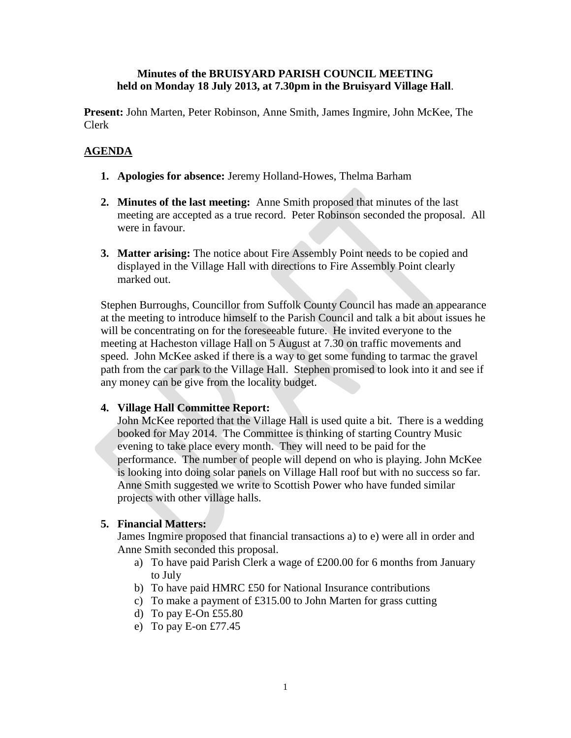### **Minutes of the BRUISYARD PARISH COUNCIL MEETING held on Monday 18 July 2013, at 7.30pm in the Bruisyard Village Hall**.

**Present:** John Marten, Peter Robinson, Anne Smith, James Ingmire, John McKee, The Clerk

# **AGENDA**

- **1. Apologies for absence:** Jeremy Holland-Howes, Thelma Barham
- **2. Minutes of the last meeting:** Anne Smith proposed that minutes of the last meeting are accepted as a true record. Peter Robinson seconded the proposal. All were in favour.
- **3. Matter arising:** The notice about Fire Assembly Point needs to be copied and displayed in the Village Hall with directions to Fire Assembly Point clearly marked out.

Stephen Burroughs, Councillor from Suffolk County Council has made an appearance at the meeting to introduce himself to the Parish Council and talk a bit about issues he will be concentrating on for the foreseeable future. He invited everyone to the meeting at Hacheston village Hall on 5 August at 7.30 on traffic movements and speed. John McKee asked if there is a way to get some funding to tarmac the gravel path from the car park to the Village Hall. Stephen promised to look into it and see if any money can be give from the locality budget.

# **4. Village Hall Committee Report:**

John McKee reported that the Village Hall is used quite a bit. There is a wedding booked for May 2014. The Committee is thinking of starting Country Music evening to take place every month. They will need to be paid for the performance. The number of people will depend on who is playing. John McKee is looking into doing solar panels on Village Hall roof but with no success so far. Anne Smith suggested we write to Scottish Power who have funded similar projects with other village halls.

# **5. Financial Matters:**

James Ingmire proposed that financial transactions a) to e) were all in order and Anne Smith seconded this proposal.

- a) To have paid Parish Clerk a wage of £200.00 for 6 months from January to July
- b) To have paid HMRC £50 for National Insurance contributions
- c) To make a payment of £315.00 to John Marten for grass cutting
- d) To pay E-On £55.80
- e) To pay E-on £77.45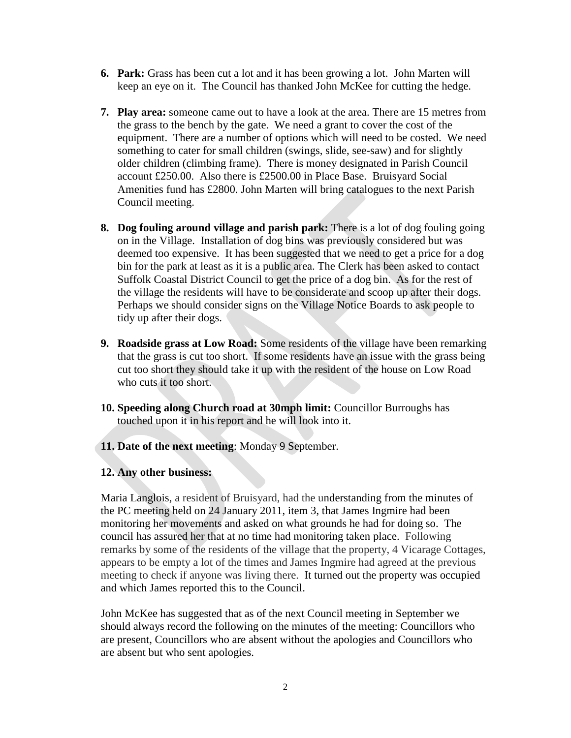- **6. Park:** Grass has been cut a lot and it has been growing a lot. John Marten will keep an eye on it. The Council has thanked John McKee for cutting the hedge.
- **7. Play area:** someone came out to have a look at the area. There are 15 metres from the grass to the bench by the gate. We need a grant to cover the cost of the equipment. There are a number of options which will need to be costed. We need something to cater for small children (swings, slide, see-saw) and for slightly older children (climbing frame). There is money designated in Parish Council account £250.00. Also there is £2500.00 in Place Base. Bruisyard Social Amenities fund has £2800. John Marten will bring catalogues to the next Parish Council meeting.
- **8. Dog fouling around village and parish park:** There is a lot of dog fouling going on in the Village. Installation of dog bins was previously considered but was deemed too expensive. It has been suggested that we need to get a price for a dog bin for the park at least as it is a public area. The Clerk has been asked to contact Suffolk Coastal District Council to get the price of a dog bin. As for the rest of the village the residents will have to be considerate and scoop up after their dogs. Perhaps we should consider signs on the Village Notice Boards to ask people to tidy up after their dogs.
- **9. Roadside grass at Low Road:** Some residents of the village have been remarking that the grass is cut too short. If some residents have an issue with the grass being cut too short they should take it up with the resident of the house on Low Road who cuts it too short.
- **10. Speeding along Church road at 30mph limit:** Councillor Burroughs has touched upon it in his report and he will look into it.
- **11. Date of the next meeting**: Monday 9 September.

### **12. Any other business:**

Maria Langlois, a resident of Bruisyard, had the understanding from the minutes of the PC meeting held on 24 January 2011, item 3, that James Ingmire had been monitoring her movements and asked on what grounds he had for doing so. The council has assured her that at no time had monitoring taken place. Following remarks by some of the residents of the village that the property, 4 Vicarage Cottages, appears to be empty a lot of the times and James Ingmire had agreed at the previous meeting to check if anyone was living there. It turned out the property was occupied and which James reported this to the Council.

John McKee has suggested that as of the next Council meeting in September we should always record the following on the minutes of the meeting: Councillors who are present, Councillors who are absent without the apologies and Councillors who are absent but who sent apologies.